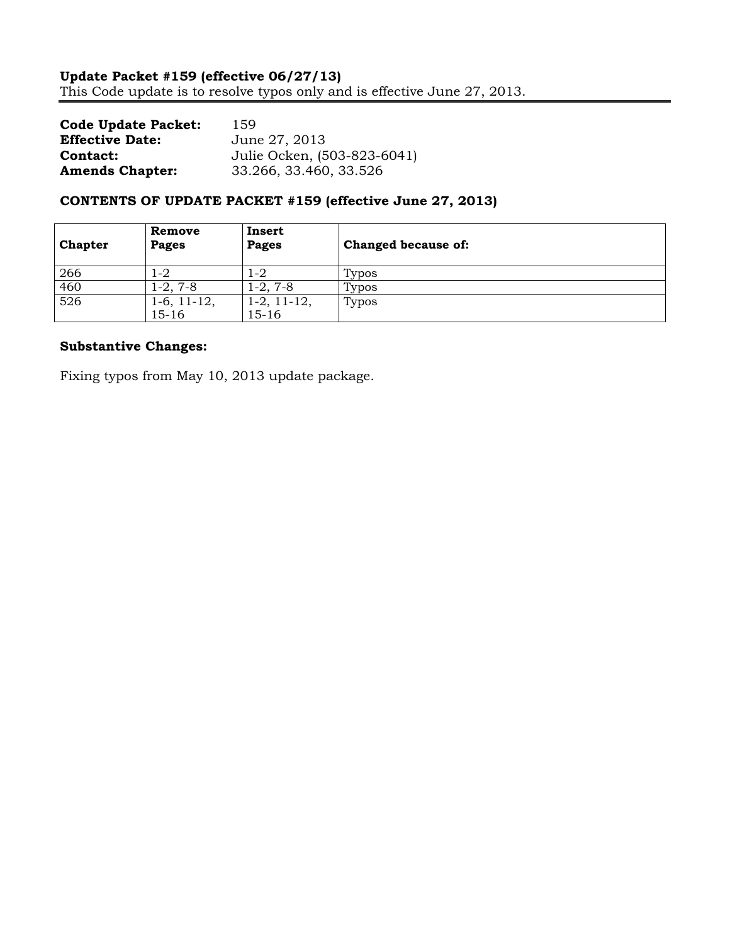| <b>Code Update Packet:</b> | 159                         |
|----------------------------|-----------------------------|
| <b>Effective Date:</b>     | June 27, 2013               |
| Contact:                   | Julie Ocken, (503-823-6041) |
| <b>Amends Chapter:</b>     | 33.266, 33.460, 33.526      |

# **CONTENTS OF UPDATE PACKET #159 (effective June 27, 2013)**

| <b>Chapter</b> | Remove<br>Pages                | Insert<br>Pages          | Changed because of: |
|----------------|--------------------------------|--------------------------|---------------------|
| 266            | 1-2                            | 1-2                      | Typos               |
| 460            | 1-2, 7-8                       | $1-2, 7-8$               | Typos               |
| 526            | $1-6$ , $11-12$ ,<br>$15 - 16$ | $1-2, 11-12,$<br>$15-16$ | Typos               |

# **Substantive Changes:**

Fixing typos from May 10, 2013 update package.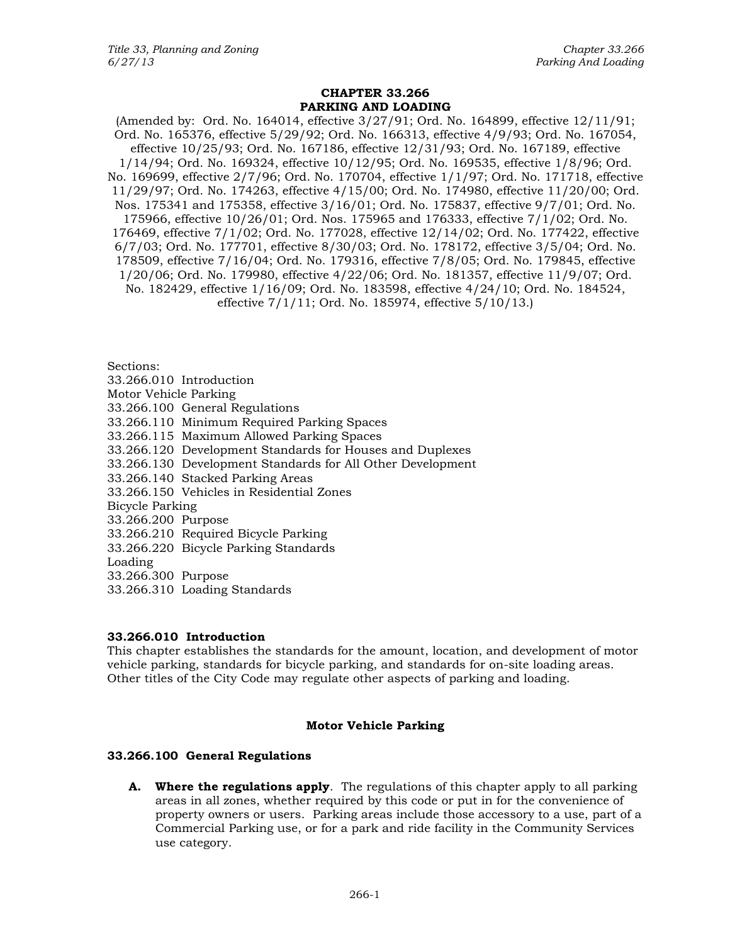## **CHAPTER 33.266 PARKING AND LOADING**

(Amended by: Ord. No. 164014, effective 3/27/91; Ord. No. 164899, effective 12/11/91; Ord. No. 165376, effective 5/29/92; Ord. No. 166313, effective 4/9/93; Ord. No. 167054, effective 10/25/93; Ord. No. 167186, effective 12/31/93; Ord. No. 167189, effective 1/14/94; Ord. No. 169324, effective 10/12/95; Ord. No. 169535, effective 1/8/96; Ord. No. 169699, effective 2/7/96; Ord. No. 170704, effective 1/1/97; Ord. No. 171718, effective 11/29/97; Ord. No. 174263, effective 4/15/00; Ord. No. 174980, effective 11/20/00; Ord. Nos. 175341 and 175358, effective 3/16/01; Ord. No. 175837, effective 9/7/01; Ord. No. 175966, effective 10/26/01; Ord. Nos. 175965 and 176333, effective 7/1/02; Ord. No. 176469, effective 7/1/02; Ord. No. 177028, effective 12/14/02; Ord. No. 177422, effective 6/7/03; Ord. No. 177701, effective 8/30/03; Ord. No. 178172, effective 3/5/04; Ord. No. 178509, effective 7/16/04; Ord. No. 179316, effective 7/8/05; Ord. No. 179845, effective 1/20/06; Ord. No. 179980, effective 4/22/06; Ord. No. 181357, effective 11/9/07; Ord. No. 182429, effective 1/16/09; Ord. No. 183598, effective 4/24/10; Ord. No. 184524, effective 7/1/11; Ord. No. 185974, effective 5/10/13.)

Sections:

33.266.010 Introduction

- Motor Vehicle Parking
- 33.266.100 General Regulations
- 33.266.110 Minimum Required Parking Spaces
- 33.266.115 Maximum Allowed Parking Spaces
- 33.266.120 Development Standards for Houses and Duplexes
- 33.266.130 Development Standards for All Other Development
- 33.266.140 Stacked Parking Areas
- 33.266.150 Vehicles in Residential Zones
- Bicycle Parking
- 33.266.200 Purpose
- 33.266.210 Required Bicycle Parking
- 33.266.220 Bicycle Parking Standards

Loading

- 33.266.300 Purpose
- 33.266.310 Loading Standards

# **33.266.010 Introduction**

This chapter establishes the standards for the amount, location, and development of motor vehicle parking, standards for bicycle parking, and standards for on-site loading areas. Other titles of the City Code may regulate other aspects of parking and loading.

## **Motor Vehicle Parking**

## **33.266.100 General Regulations**

**A. Where the regulations apply**. The regulations of this chapter apply to all parking areas in all zones, whether required by this code or put in for the convenience of property owners or users. Parking areas include those accessory to a use, part of a Commercial Parking use, or for a park and ride facility in the Community Services use category.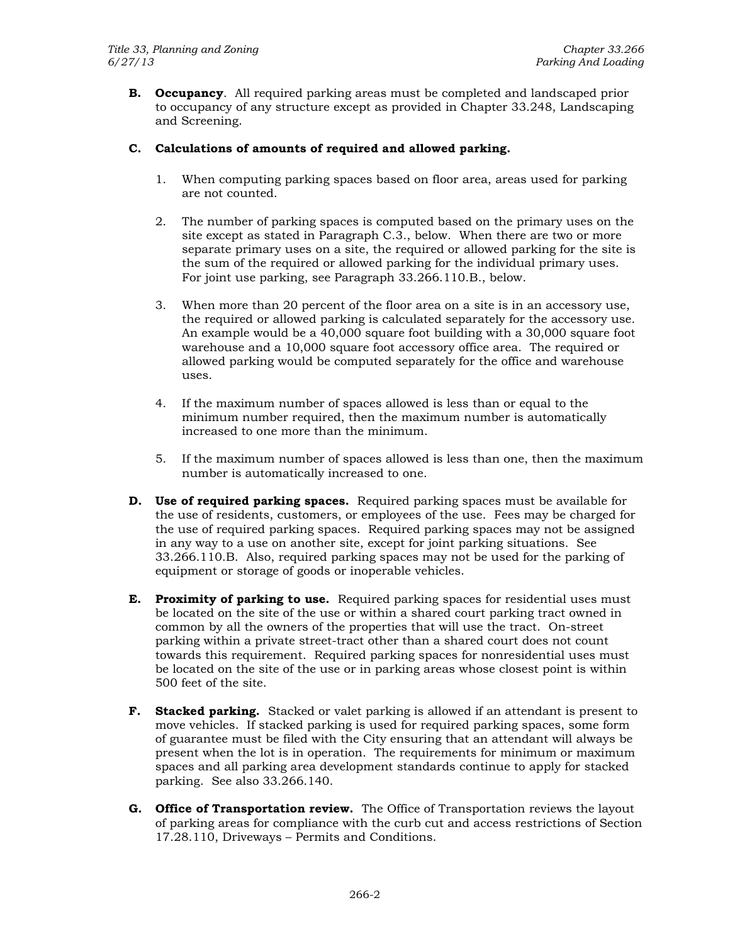**B. Occupancy**. All required parking areas must be completed and landscaped prior to occupancy of any structure except as provided in Chapter 33.248, Landscaping and Screening.

# **C. Calculations of amounts of required and allowed parking.**

- 1. When computing parking spaces based on floor area, areas used for parking are not counted.
- 2. The number of parking spaces is computed based on the primary uses on the site except as stated in Paragraph C.3., below. When there are two or more separate primary uses on a site, the required or allowed parking for the site is the sum of the required or allowed parking for the individual primary uses. For joint use parking, see Paragraph 33.266.110.B., below.
- 3. When more than 20 percent of the floor area on a site is in an accessory use, the required or allowed parking is calculated separately for the accessory use. An example would be a 40,000 square foot building with a 30,000 square foot warehouse and a 10,000 square foot accessory office area. The required or allowed parking would be computed separately for the office and warehouse uses.
- 4. If the maximum number of spaces allowed is less than or equal to the minimum number required, then the maximum number is automatically increased to one more than the minimum.
- 5. If the maximum number of spaces allowed is less than one, then the maximum number is automatically increased to one.
- **D.** Use of required parking spaces. Required parking spaces must be available for the use of residents, customers, or employees of the use. Fees may be charged for the use of required parking spaces. Required parking spaces may not be assigned in any way to a use on another site, except for joint parking situations. See 33.266.110.B. Also, required parking spaces may not be used for the parking of equipment or storage of goods or inoperable vehicles.
- **E. Proximity of parking to use.** Required parking spaces for residential uses must be located on the site of the use or within a shared court parking tract owned in common by all the owners of the properties that will use the tract. On-street parking within a private street-tract other than a shared court does not count towards this requirement. Required parking spaces for nonresidential uses must be located on the site of the use or in parking areas whose closest point is within 500 feet of the site.
- **F. Stacked parking.** Stacked or valet parking is allowed if an attendant is present to move vehicles. If stacked parking is used for required parking spaces, some form of guarantee must be filed with the City ensuring that an attendant will always be present when the lot is in operation. The requirements for minimum or maximum spaces and all parking area development standards continue to apply for stacked parking. See also 33.266.140.
- **G. Office of Transportation review.** The Office of Transportation reviews the layout of parking areas for compliance with the curb cut and access restrictions of Section 17.28.110, Driveways – Permits and Conditions.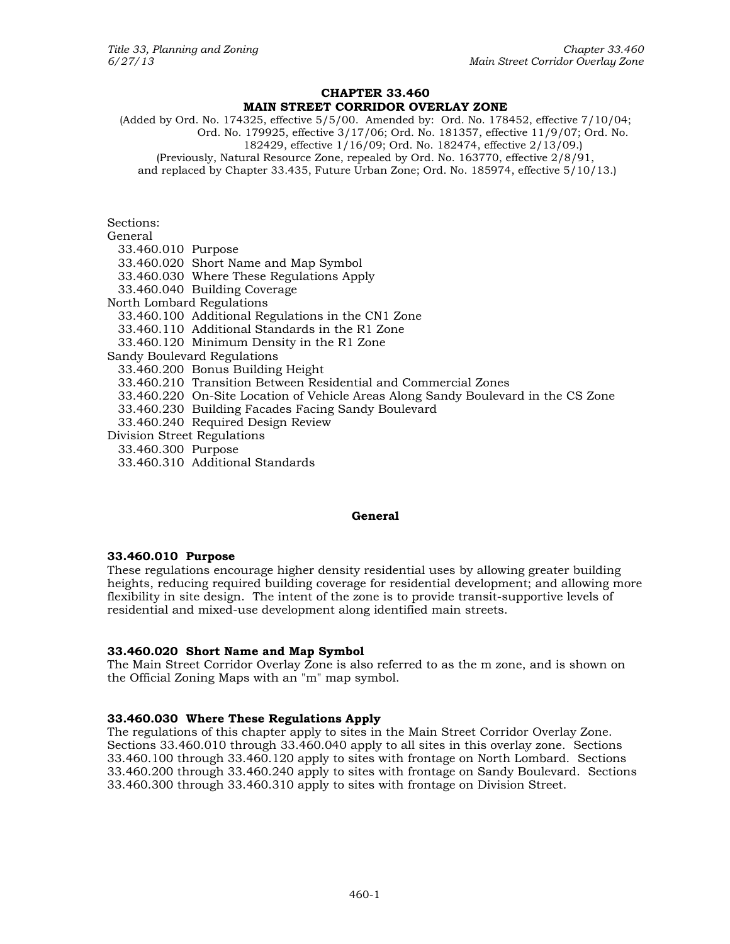#### **CHAPTER 33.460 MAIN STREET CORRIDOR OVERLAY ZONE**

(Added by Ord. No. 174325, effective 5/5/00. Amended by: Ord. No. 178452, effective 7/10/04; Ord. No. 179925, effective 3/17/06; Ord. No. 181357, effective 11/9/07; Ord. No. 182429, effective 1/16/09; Ord. No. 182474, effective 2/13/09.) (Previously, Natural Resource Zone, repealed by Ord. No. 163770, effective 2/8/91, and replaced by Chapter 33.435, Future Urban Zone; Ord. No. 185974, effective 5/10/13.)

Sections:

| General                     |                                                                                   |  |
|-----------------------------|-----------------------------------------------------------------------------------|--|
| 33.460.010 Purpose          |                                                                                   |  |
|                             | 33.460.020 Short Name and Map Symbol                                              |  |
|                             | 33.460.030 Where These Regulations Apply                                          |  |
|                             | 33.460.040 Building Coverage                                                      |  |
| North Lombard Regulations   |                                                                                   |  |
|                             | 33.460.100 Additional Regulations in the CN1 Zone                                 |  |
|                             | 33.460.110 Additional Standards in the R1 Zone                                    |  |
|                             | 33.460.120 Minimum Density in the R1 Zone                                         |  |
| Sandy Boulevard Regulations |                                                                                   |  |
|                             | 33.460.200 Bonus Building Height                                                  |  |
|                             | 33.460.210 Transition Between Residential and Commercial Zones                    |  |
|                             | 33.460.220 On-Site Location of Vehicle Areas Along Sandy Boulevard in the CS Zone |  |
|                             | 33.460.230 Building Facades Facing Sandy Boulevard                                |  |
|                             | 33.460.240 Required Design Review                                                 |  |
| Division Street Regulations |                                                                                   |  |
| 33.460.300 Purpose          |                                                                                   |  |
|                             | 33.460.310 Additional Standards                                                   |  |

## **General**

## **33.460.010 Purpose**

These regulations encourage higher density residential uses by allowing greater building heights, reducing required building coverage for residential development; and allowing more flexibility in site design. The intent of the zone is to provide transit-supportive levels of residential and mixed-use development along identified main streets.

## **33.460.020 Short Name and Map Symbol**

The Main Street Corridor Overlay Zone is also referred to as the m zone, and is shown on the Official Zoning Maps with an "m" map symbol.

## **33.460.030 Where These Regulations Apply**

The regulations of this chapter apply to sites in the Main Street Corridor Overlay Zone. Sections 33.460.010 through 33.460.040 apply to all sites in this overlay zone. Sections 33.460.100 through 33.460.120 apply to sites with frontage on North Lombard. Sections 33.460.200 through 33.460.240 apply to sites with frontage on Sandy Boulevard. Sections 33.460.300 through 33.460.310 apply to sites with frontage on Division Street.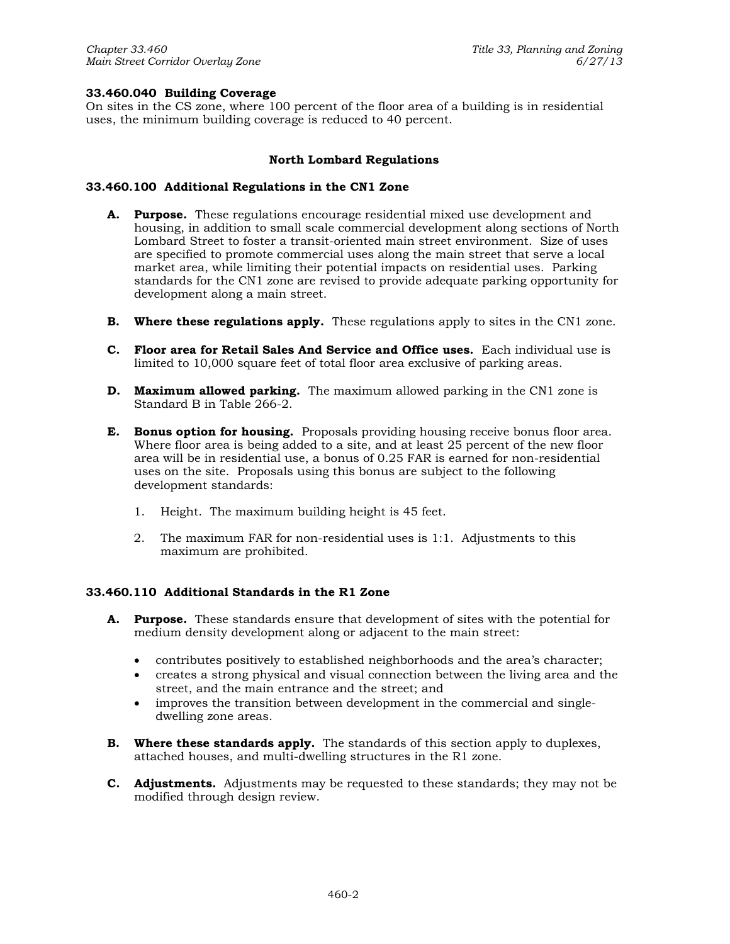## **33.460.040 Building Coverage**

On sites in the CS zone, where 100 percent of the floor area of a building is in residential uses, the minimum building coverage is reduced to 40 percent.

## **North Lombard Regulations**

## **33.460.100 Additional Regulations in the CN1 Zone**

- **A. Purpose.** These regulations encourage residential mixed use development and housing, in addition to small scale commercial development along sections of North Lombard Street to foster a transit-oriented main street environment. Size of uses are specified to promote commercial uses along the main street that serve a local market area, while limiting their potential impacts on residential uses. Parking standards for the CN1 zone are revised to provide adequate parking opportunity for development along a main street.
- **B. Where these regulations apply.** These regulations apply to sites in the CN1 zone.
- **C. Floor area for Retail Sales And Service and Office uses.** Each individual use is limited to 10,000 square feet of total floor area exclusive of parking areas.
- **D. Maximum allowed parking.** The maximum allowed parking in the CN1 zone is Standard B in Table 266-2.
- **E. Bonus option for housing.** Proposals providing housing receive bonus floor area. Where floor area is being added to a site, and at least 25 percent of the new floor area will be in residential use, a bonus of 0.25 FAR is earned for non-residential uses on the site. Proposals using this bonus are subject to the following development standards:
	- 1. Height. The maximum building height is 45 feet.
	- 2. The maximum FAR for non-residential uses is 1:1. Adjustments to this maximum are prohibited.

## **33.460.110 Additional Standards in the R1 Zone**

- **A. Purpose.** These standards ensure that development of sites with the potential for medium density development along or adjacent to the main street:
	- contributes positively to established neighborhoods and the area's character;
	- creates a strong physical and visual connection between the living area and the street, and the main entrance and the street; and
	- improves the transition between development in the commercial and singledwelling zone areas.
- **B. Where these standards apply.** The standards of this section apply to duplexes, attached houses, and multi-dwelling structures in the R1 zone.
- **C. Adjustments.** Adjustments may be requested to these standards; they may not be modified through design review.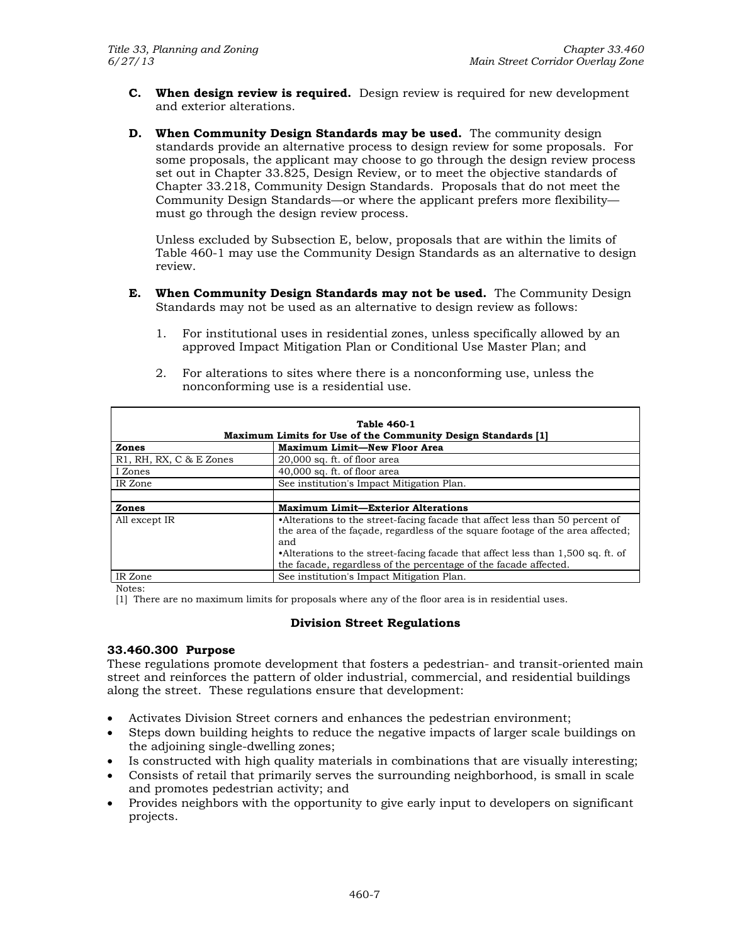- **C. When design review is required.** Design review is required for new development and exterior alterations.
- **D. When Community Design Standards may be used.** The community design standards provide an alternative process to design review for some proposals. For some proposals, the applicant may choose to go through the design review process set out in Chapter 33.825, Design Review, or to meet the objective standards of Chapter 33.218, Community Design Standards. Proposals that do not meet the Community Design Standards—or where the applicant prefers more flexibility must go through the design review process.

Unless excluded by Subsection E, below, proposals that are within the limits of Table 460-1 may use the Community Design Standards as an alternative to design review.

- **E. When Community Design Standards may not be used.** The Community Design Standards may not be used as an alternative to design review as follows:
	- 1. For institutional uses in residential zones, unless specifically allowed by an approved Impact Mitigation Plan or Conditional Use Master Plan; and
- **Table 460-1 Maximum Limits for Use of the Community Design Standards [1] Zones** Maximum Limit—New Floor Area R1, RH, RX, C & E Zones  $20,000$  sq. ft. of floor area I Zones  $\vert$  40,000 sq. ft. of floor area IR Zone See institution's Impact Mitigation Plan. **Zones Maximum Limit—Exterior Alterations** All except IR •Alterations to the street-facing facade that affect less than 50 percent of the area of the façade, regardless of the square footage of the area affected; and •Alterations to the street-facing facade that affect less than 1,500 sq. ft. of the facade, regardless of the percentage of the facade affected. IR Zone See institution's Impact Mitigation Plan.
- 2. For alterations to sites where there is a nonconforming use, unless the nonconforming use is a residential use.

Notes:

[1] There are no maximum limits for proposals where any of the floor area is in residential uses.

## **Division Street Regulations**

## **33.460.300 Purpose**

These regulations promote development that fosters a pedestrian- and transit-oriented main street and reinforces the pattern of older industrial, commercial, and residential buildings along the street. These regulations ensure that development:

- Activates Division Street corners and enhances the pedestrian environment;
- Steps down building heights to reduce the negative impacts of larger scale buildings on the adjoining single-dwelling zones;
- Is constructed with high quality materials in combinations that are visually interesting;
- Consists of retail that primarily serves the surrounding neighborhood, is small in scale and promotes pedestrian activity; and
- Provides neighbors with the opportunity to give early input to developers on significant projects.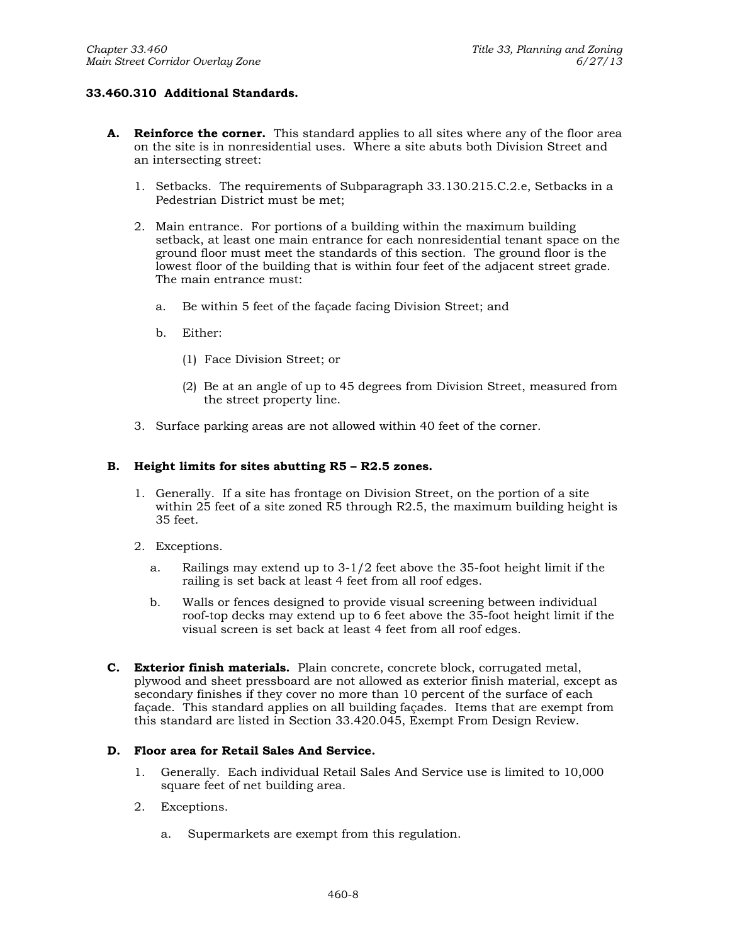# **33.460.310 Additional Standards.**

- **A. Reinforce the corner.** This standard applies to all sites where any of the floor area on the site is in nonresidential uses. Where a site abuts both Division Street and an intersecting street:
	- 1. Setbacks. The requirements of Subparagraph 33.130.215.C.2.e, Setbacks in a Pedestrian District must be met;
	- 2. Main entrance. For portions of a building within the maximum building setback, at least one main entrance for each nonresidential tenant space on the ground floor must meet the standards of this section. The ground floor is the lowest floor of the building that is within four feet of the adjacent street grade. The main entrance must:
		- a. Be within 5 feet of the façade facing Division Street; and
		- b. Either:
			- (1) Face Division Street; or
			- (2) Be at an angle of up to 45 degrees from Division Street, measured from the street property line.
	- 3. Surface parking areas are not allowed within 40 feet of the corner.

## **B. Height limits for sites abutting R5 – R2.5 zones.**

- 1. Generally. If a site has frontage on Division Street, on the portion of a site within 25 feet of a site zoned R5 through R2.5, the maximum building height is 35 feet.
- 2. Exceptions.
	- a. Railings may extend up to 3-1/2 feet above the 35-foot height limit if the railing is set back at least 4 feet from all roof edges.
	- b. Walls or fences designed to provide visual screening between individual roof-top decks may extend up to 6 feet above the 35-foot height limit if the visual screen is set back at least 4 feet from all roof edges.
- **C. Exterior finish materials.** Plain concrete, concrete block, corrugated metal, plywood and sheet pressboard are not allowed as exterior finish material, except as secondary finishes if they cover no more than 10 percent of the surface of each façade. This standard applies on all building façades. Items that are exempt from this standard are listed in Section 33.420.045, Exempt From Design Review.

## **D. Floor area for Retail Sales And Service.**

- 1. Generally. Each individual Retail Sales And Service use is limited to 10,000 square feet of net building area.
- 2. Exceptions.
	- a. Supermarkets are exempt from this regulation.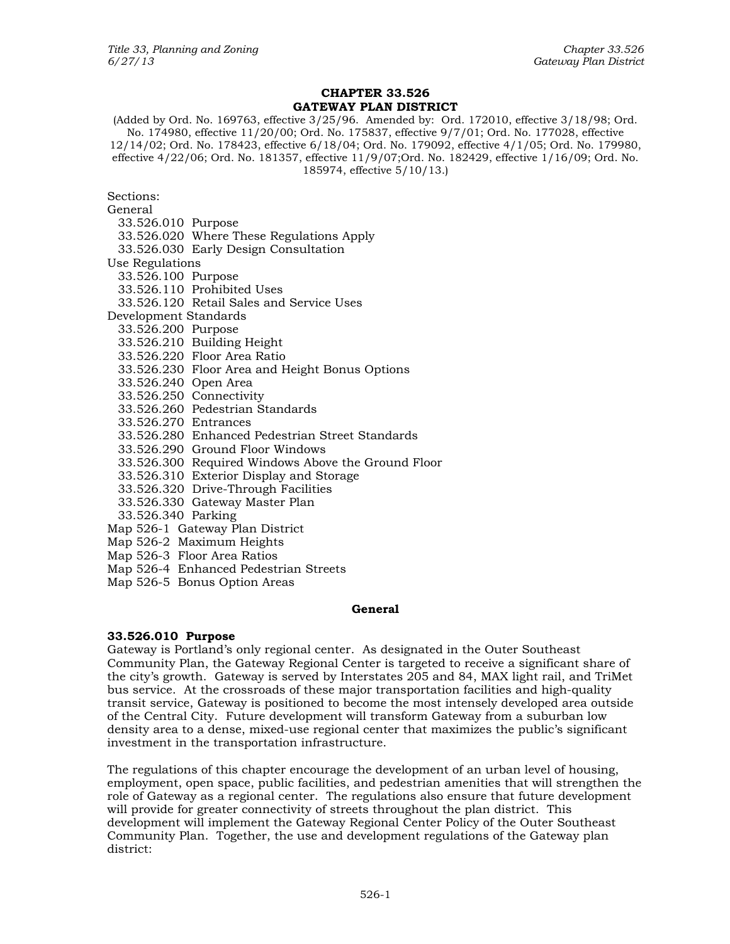# **CHAPTER 33.526 GATEWAY PLAN DISTRICT**

(Added by Ord. No. 169763, effective 3/25/96. Amended by: Ord. 172010, effective 3/18/98; Ord. No. 174980, effective 11/20/00; Ord. No. 175837, effective 9/7/01; Ord. No. 177028, effective 12/14/02; Ord. No. 178423, effective 6/18/04; Ord. No. 179092, effective 4/1/05; Ord. No. 179980, effective 4/22/06; Ord. No. 181357, effective 11/9/07;Ord. No. 182429, effective 1/16/09; Ord. No. 185974, effective 5/10/13.)

Sections:

General 33.526.010 Purpose 33.526.020 Where These Regulations Apply 33.526.030 Early Design Consultation Use Regulations 33.526.100 Purpose 33.526.110 Prohibited Uses 33.526.120 Retail Sales and Service Uses Development Standards 33.526.200 Purpose 33.526.210 Building Height 33.526.220 Floor Area Ratio 33.526.230 Floor Area and Height Bonus Options 33.526.240 Open Area 33.526.250 Connectivity 33.526.260 Pedestrian Standards 33.526.270 Entrances 33.526.280 Enhanced Pedestrian Street Standards 33.526.290 Ground Floor Windows 33.526.300 Required Windows Above the Ground Floor 33.526.310 Exterior Display and Storage 33.526.320 Drive-Through Facilities 33.526.330 Gateway Master Plan 33.526.340 Parking Map 526-1 Gateway Plan District Map 526-2 Maximum Heights

- Map 526-3 Floor Area Ratios
- Map 526-4 Enhanced Pedestrian Streets
- Map 526-5 Bonus Option Areas

## **General**

## **33.526.010 Purpose**

Gateway is Portland's only regional center. As designated in the Outer Southeast Community Plan, the Gateway Regional Center is targeted to receive a significant share of the city's growth. Gateway is served by Interstates 205 and 84, MAX light rail, and TriMet bus service. At the crossroads of these major transportation facilities and high-quality transit service, Gateway is positioned to become the most intensely developed area outside of the Central City. Future development will transform Gateway from a suburban low density area to a dense, mixed-use regional center that maximizes the public's significant investment in the transportation infrastructure.

The regulations of this chapter encourage the development of an urban level of housing, employment, open space, public facilities, and pedestrian amenities that will strengthen the role of Gateway as a regional center. The regulations also ensure that future development will provide for greater connectivity of streets throughout the plan district. This development will implement the Gateway Regional Center Policy of the Outer Southeast Community Plan. Together, the use and development regulations of the Gateway plan district: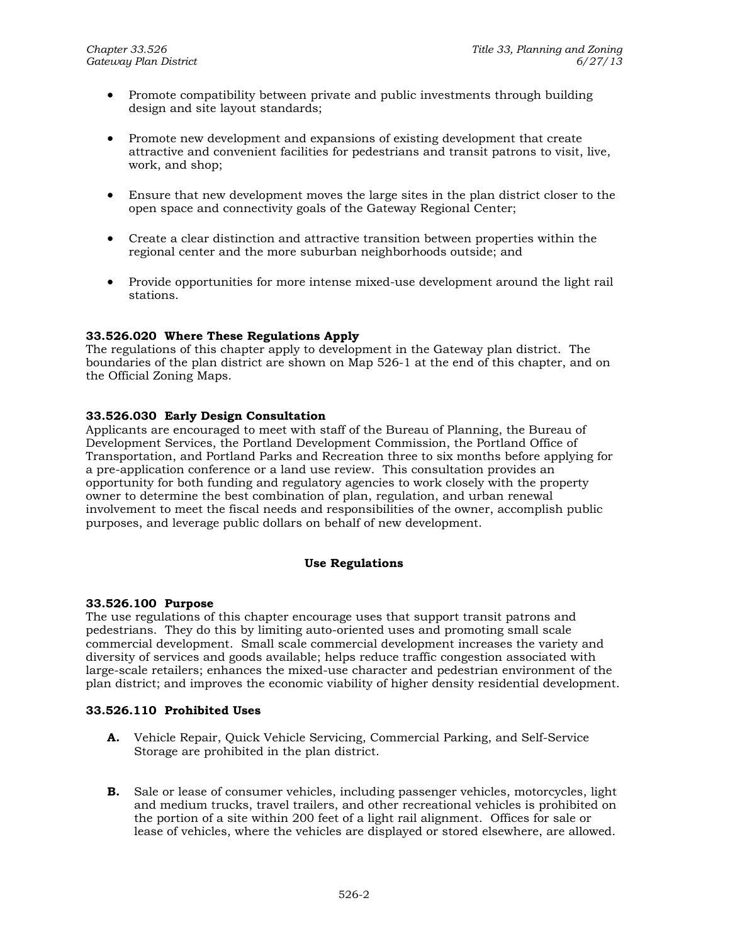- Promote compatibility between private and public investments through building design and site layout standards;
- Promote new development and expansions of existing development that create attractive and convenient facilities for pedestrians and transit patrons to visit, live, work, and shop;
- Ensure that new development moves the large sites in the plan district closer to the open space and connectivity goals of the Gateway Regional Center;
- Create a clear distinction and attractive transition between properties within the regional center and the more suburban neighborhoods outside; and
- Provide opportunities for more intense mixed-use development around the light rail stations.

## **33.526.020 Where These Regulations Apply**

The regulations of this chapter apply to development in the Gateway plan district. The boundaries of the plan district are shown on Map 526-1 at the end of this chapter, and on the Official Zoning Maps.

## **33.526.030 Early Design Consultation**

Applicants are encouraged to meet with staff of the Bureau of Planning, the Bureau of Development Services, the Portland Development Commission, the Portland Office of Transportation, and Portland Parks and Recreation three to six months before applying for a pre-application conference or a land use review. This consultation provides an opportunity for both funding and regulatory agencies to work closely with the property owner to determine the best combination of plan, regulation, and urban renewal involvement to meet the fiscal needs and responsibilities of the owner, accomplish public purposes, and leverage public dollars on behalf of new development.

## **Use Regulations**

## **33.526.100 Purpose**

The use regulations of this chapter encourage uses that support transit patrons and pedestrians. They do this by limiting auto-oriented uses and promoting small scale commercial development. Small scale commercial development increases the variety and diversity of services and goods available; helps reduce traffic congestion associated with large-scale retailers; enhances the mixed-use character and pedestrian environment of the plan district; and improves the economic viability of higher density residential development.

## **33.526.110 Prohibited Uses**

- **A.** Vehicle Repair, Quick Vehicle Servicing, Commercial Parking, and Self-Service Storage are prohibited in the plan district.
- **B.** Sale or lease of consumer vehicles, including passenger vehicles, motorcycles, light and medium trucks, travel trailers, and other recreational vehicles is prohibited on the portion of a site within 200 feet of a light rail alignment. Offices for sale or lease of vehicles, where the vehicles are displayed or stored elsewhere, are allowed.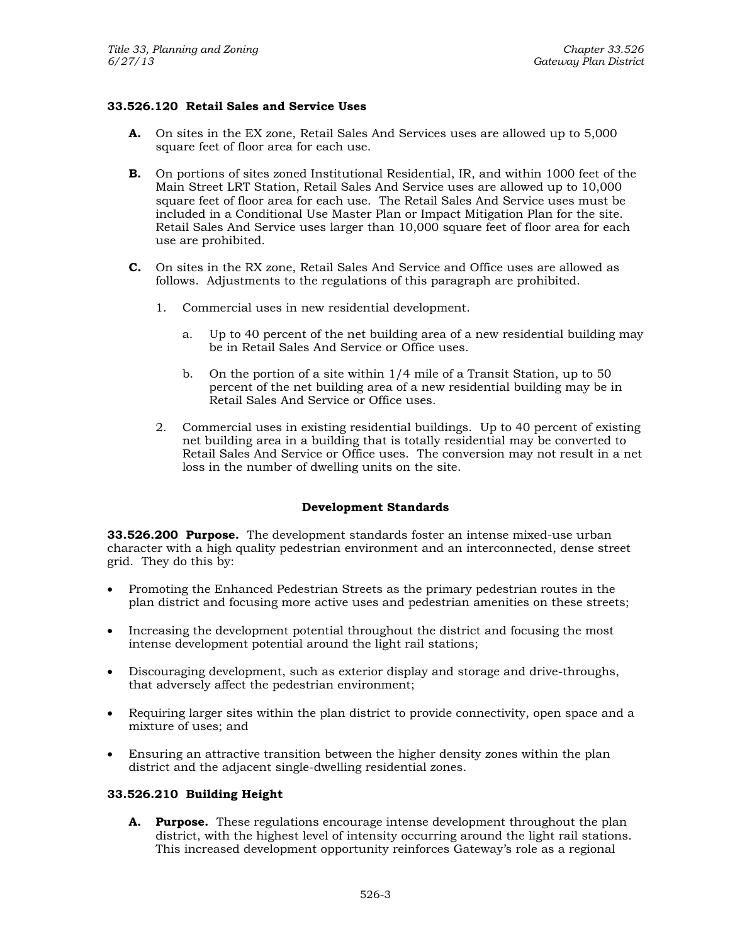# **33.526.120 Retail Sales and Service Uses**

- **A.** On sites in the EX zone, Retail Sales And Services uses are allowed up to 5,000 square feet of floor area for each use.
- **B.** On portions of sites zoned Institutional Residential, IR, and within 1000 feet of the Main Street LRT Station, Retail Sales And Service uses are allowed up to 10,000 square feet of floor area for each use. The Retail Sales And Service uses must be included in a Conditional Use Master Plan or Impact Mitigation Plan for the site. Retail Sales And Service uses larger than 10,000 square feet of floor area for each use are prohibited.
- **C.** On sites in the RX zone, Retail Sales And Service and Office uses are allowed as follows. Adjustments to the regulations of this paragraph are prohibited.
	- 1. Commercial uses in new residential development.
		- a. Up to 40 percent of the net building area of a new residential building may be in Retail Sales And Service or Office uses.
		- b. On the portion of a site within 1/4 mile of a Transit Station, up to 50 percent of the net building area of a new residential building may be in Retail Sales And Service or Office uses.
	- 2. Commercial uses in existing residential buildings. Up to 40 percent of existing net building area in a building that is totally residential may be converted to Retail Sales And Service or Office uses. The conversion may not result in a net loss in the number of dwelling units on the site.

## **Development Standards**

**33.526.200 Purpose.** The development standards foster an intense mixed-use urban character with a high quality pedestrian environment and an interconnected, dense street grid. They do this by:

- Promoting the Enhanced Pedestrian Streets as the primary pedestrian routes in the plan district and focusing more active uses and pedestrian amenities on these streets;
- Increasing the development potential throughout the district and focusing the most intense development potential around the light rail stations;
- Discouraging development, such as exterior display and storage and drive-throughs, that adversely affect the pedestrian environment;
- Requiring larger sites within the plan district to provide connectivity, open space and a mixture of uses; and
- Ensuring an attractive transition between the higher density zones within the plan district and the adjacent single-dwelling residential zones.

## **33.526.210 Building Height**

**A. Purpose.** These regulations encourage intense development throughout the plan district, with the highest level of intensity occurring around the light rail stations. This increased development opportunity reinforces Gateway's role as a regional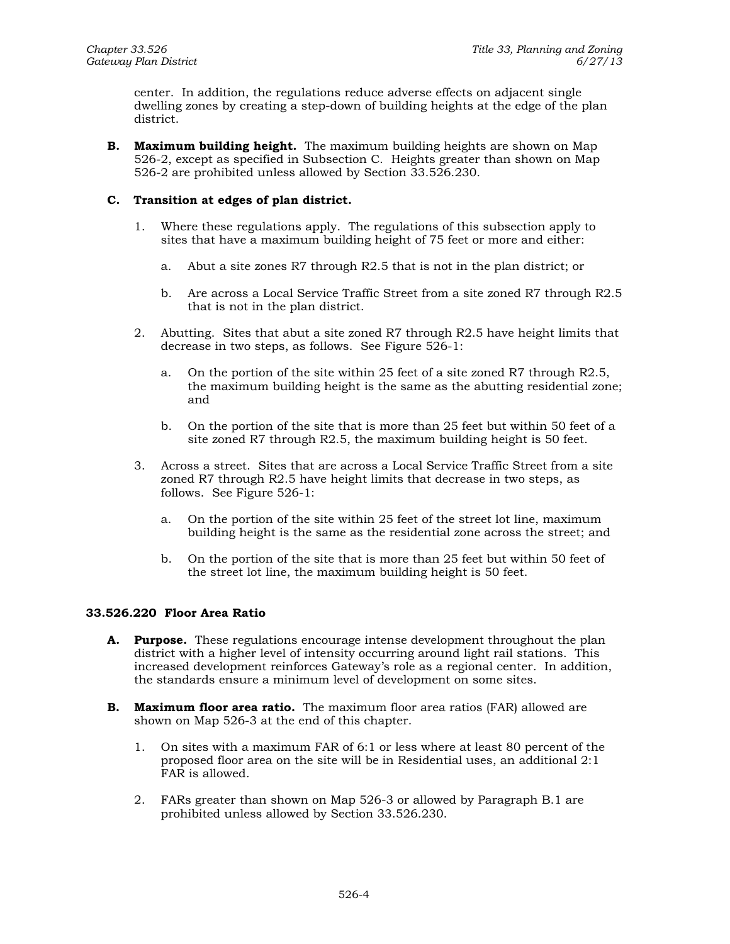center. In addition, the regulations reduce adverse effects on adjacent single dwelling zones by creating a step-down of building heights at the edge of the plan district.

**B. Maximum building height.** The maximum building heights are shown on Map 526-2, except as specified in Subsection C. Heights greater than shown on Map 526-2 are prohibited unless allowed by Section 33.526.230.

# **C. Transition at edges of plan district.**

- 1. Where these regulations apply. The regulations of this subsection apply to sites that have a maximum building height of 75 feet or more and either:
	- a. Abut a site zones R7 through R2.5 that is not in the plan district; or
	- b. Are across a Local Service Traffic Street from a site zoned R7 through R2.5 that is not in the plan district.
- 2. Abutting. Sites that abut a site zoned R7 through R2.5 have height limits that decrease in two steps, as follows. See Figure 526-1:
	- a. On the portion of the site within 25 feet of a site zoned R7 through R2.5, the maximum building height is the same as the abutting residential zone; and
	- b. On the portion of the site that is more than 25 feet but within 50 feet of a site zoned R7 through R2.5, the maximum building height is 50 feet.
- 3. Across a street. Sites that are across a Local Service Traffic Street from a site zoned R7 through R2.5 have height limits that decrease in two steps, as follows. See Figure 526-1:
	- a. On the portion of the site within 25 feet of the street lot line, maximum building height is the same as the residential zone across the street; and
	- b. On the portion of the site that is more than 25 feet but within 50 feet of the street lot line, the maximum building height is 50 feet.

## **33.526.220 Floor Area Ratio**

- **A. Purpose.** These regulations encourage intense development throughout the plan district with a higher level of intensity occurring around light rail stations. This increased development reinforces Gateway's role as a regional center. In addition, the standards ensure a minimum level of development on some sites.
- **B. Maximum floor area ratio.** The maximum floor area ratios (FAR) allowed are shown on Map 526-3 at the end of this chapter.
	- 1. On sites with a maximum FAR of 6:1 or less where at least 80 percent of the proposed floor area on the site will be in Residential uses, an additional 2:1 FAR is allowed.
	- 2. FARs greater than shown on Map 526-3 or allowed by Paragraph B.1 are prohibited unless allowed by Section 33.526.230.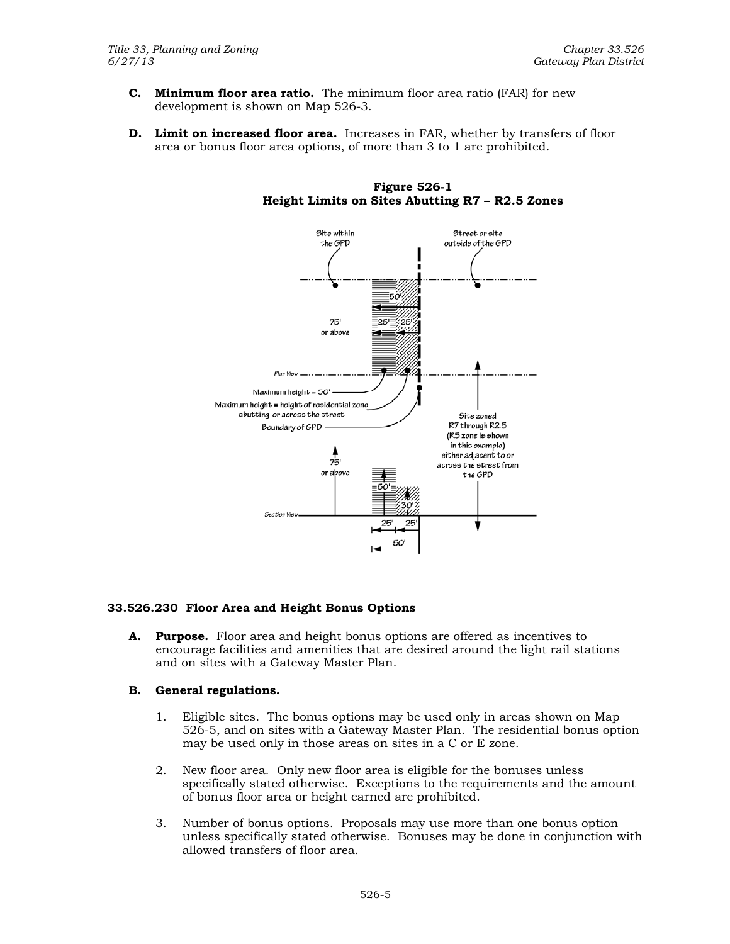- **C. Minimum floor area ratio.** The minimum floor area ratio (FAR) for new development is shown on Map 526-3.
- **D. Limit on increased floor area.** Increases in FAR, whether by transfers of floor area or bonus floor area options, of more than 3 to 1 are prohibited.



**Figure 526-1 Height Limits on Sites Abutting R7 – R2.5 Zones** 

# **33.526.230 Floor Area and Height Bonus Options**

**A. Purpose.** Floor area and height bonus options are offered as incentives to encourage facilities and amenities that are desired around the light rail stations and on sites with a Gateway Master Plan.

## **B. General regulations.**

- 1. Eligible sites. The bonus options may be used only in areas shown on Map 526-5, and on sites with a Gateway Master Plan. The residential bonus option may be used only in those areas on sites in a C or E zone.
- 2. New floor area. Only new floor area is eligible for the bonuses unless specifically stated otherwise. Exceptions to the requirements and the amount of bonus floor area or height earned are prohibited.
- 3. Number of bonus options. Proposals may use more than one bonus option unless specifically stated otherwise. Bonuses may be done in conjunction with allowed transfers of floor area.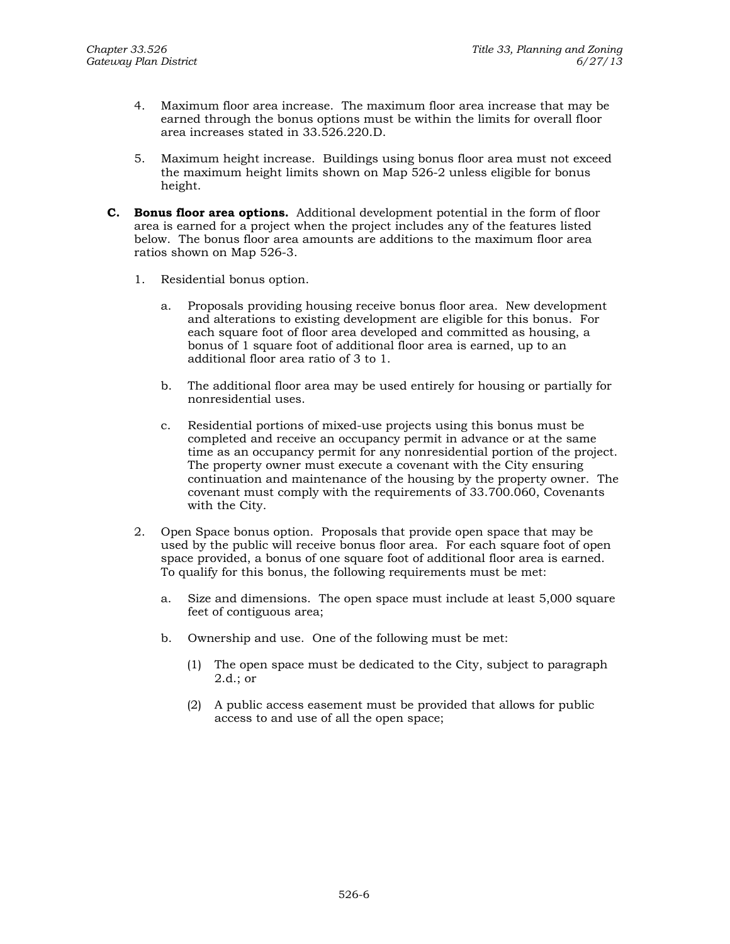- 4. Maximum floor area increase. The maximum floor area increase that may be earned through the bonus options must be within the limits for overall floor area increases stated in 33.526.220.D.
- 5. Maximum height increase. Buildings using bonus floor area must not exceed the maximum height limits shown on Map 526-2 unless eligible for bonus height.
- **C. Bonus floor area options.** Additional development potential in the form of floor area is earned for a project when the project includes any of the features listed below. The bonus floor area amounts are additions to the maximum floor area ratios shown on Map 526-3.
	- 1. Residential bonus option.
		- a. Proposals providing housing receive bonus floor area. New development and alterations to existing development are eligible for this bonus. For each square foot of floor area developed and committed as housing, a bonus of 1 square foot of additional floor area is earned, up to an additional floor area ratio of 3 to 1.
		- b. The additional floor area may be used entirely for housing or partially for nonresidential uses.
		- c. Residential portions of mixed-use projects using this bonus must be completed and receive an occupancy permit in advance or at the same time as an occupancy permit for any nonresidential portion of the project. The property owner must execute a covenant with the City ensuring continuation and maintenance of the housing by the property owner. The covenant must comply with the requirements of 33.700.060, Covenants with the City.
	- 2. Open Space bonus option. Proposals that provide open space that may be used by the public will receive bonus floor area. For each square foot of open space provided, a bonus of one square foot of additional floor area is earned. To qualify for this bonus, the following requirements must be met:
		- a. Size and dimensions. The open space must include at least 5,000 square feet of contiguous area;
		- b. Ownership and use. One of the following must be met:
			- (1) The open space must be dedicated to the City, subject to paragraph 2.d.; or
			- (2) A public access easement must be provided that allows for public access to and use of all the open space;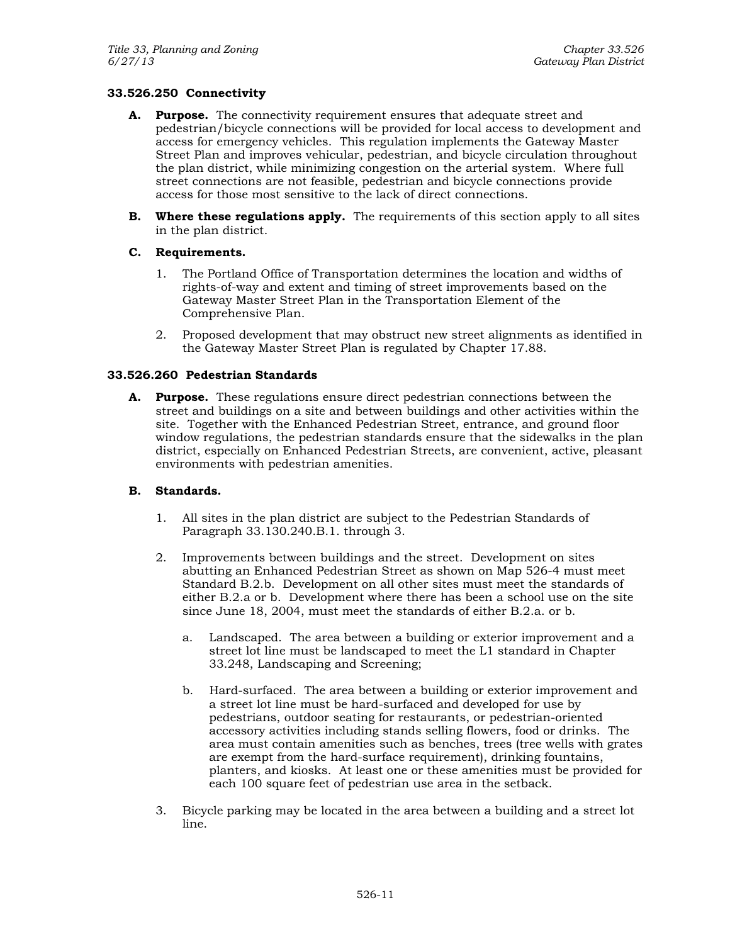# **33.526.250 Connectivity**

- **A. Purpose.** The connectivity requirement ensures that adequate street and pedestrian/bicycle connections will be provided for local access to development and access for emergency vehicles. This regulation implements the Gateway Master Street Plan and improves vehicular, pedestrian, and bicycle circulation throughout the plan district, while minimizing congestion on the arterial system. Where full street connections are not feasible, pedestrian and bicycle connections provide access for those most sensitive to the lack of direct connections.
- **B.** Where these regulations apply. The requirements of this section apply to all sites in the plan district.

## **C. Requirements.**

- 1. The Portland Office of Transportation determines the location and widths of rights-of-way and extent and timing of street improvements based on the Gateway Master Street Plan in the Transportation Element of the Comprehensive Plan.
- 2. Proposed development that may obstruct new street alignments as identified in the Gateway Master Street Plan is regulated by Chapter 17.88.

## **33.526.260 Pedestrian Standards**

**A. Purpose.** These regulations ensure direct pedestrian connections between the street and buildings on a site and between buildings and other activities within the site. Together with the Enhanced Pedestrian Street, entrance, and ground floor window regulations, the pedestrian standards ensure that the sidewalks in the plan district, especially on Enhanced Pedestrian Streets, are convenient, active, pleasant environments with pedestrian amenities.

## **B. Standards.**

- 1. All sites in the plan district are subject to the Pedestrian Standards of Paragraph 33.130.240.B.1. through 3.
- 2. Improvements between buildings and the street. Development on sites abutting an Enhanced Pedestrian Street as shown on Map 526-4 must meet Standard B.2.b. Development on all other sites must meet the standards of either B.2.a or b. Development where there has been a school use on the site since June 18, 2004, must meet the standards of either B.2.a. or b.
	- a. Landscaped. The area between a building or exterior improvement and a street lot line must be landscaped to meet the L1 standard in Chapter 33.248, Landscaping and Screening;
	- b. Hard-surfaced. The area between a building or exterior improvement and a street lot line must be hard-surfaced and developed for use by pedestrians, outdoor seating for restaurants, or pedestrian-oriented accessory activities including stands selling flowers, food or drinks. The area must contain amenities such as benches, trees (tree wells with grates are exempt from the hard-surface requirement), drinking fountains, planters, and kiosks. At least one or these amenities must be provided for each 100 square feet of pedestrian use area in the setback.
- 3. Bicycle parking may be located in the area between a building and a street lot line.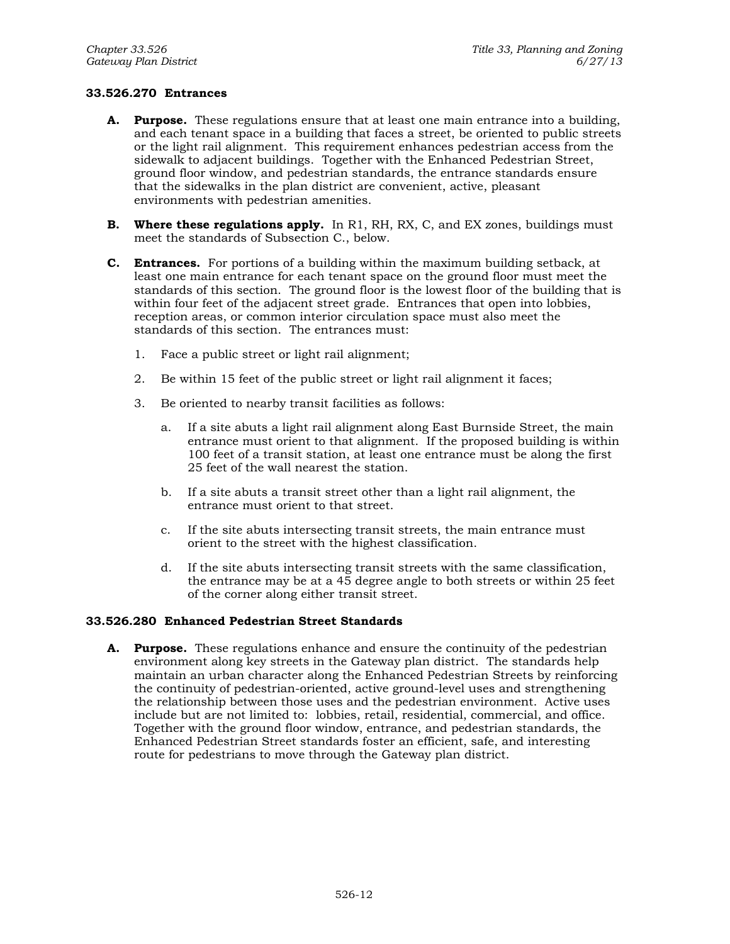## **33.526.270 Entrances**

- **A. Purpose.** These regulations ensure that at least one main entrance into a building, and each tenant space in a building that faces a street, be oriented to public streets or the light rail alignment. This requirement enhances pedestrian access from the sidewalk to adjacent buildings. Together with the Enhanced Pedestrian Street, ground floor window, and pedestrian standards, the entrance standards ensure that the sidewalks in the plan district are convenient, active, pleasant environments with pedestrian amenities.
- **B. Where these regulations apply.** In R1, RH, RX, C, and EX zones, buildings must meet the standards of Subsection C., below.
- **C. Entrances.** For portions of a building within the maximum building setback, at least one main entrance for each tenant space on the ground floor must meet the standards of this section. The ground floor is the lowest floor of the building that is within four feet of the adjacent street grade. Entrances that open into lobbies, reception areas, or common interior circulation space must also meet the standards of this section. The entrances must:
	- 1. Face a public street or light rail alignment;
	- 2. Be within 15 feet of the public street or light rail alignment it faces;
	- 3. Be oriented to nearby transit facilities as follows:
		- a. If a site abuts a light rail alignment along East Burnside Street, the main entrance must orient to that alignment. If the proposed building is within 100 feet of a transit station, at least one entrance must be along the first 25 feet of the wall nearest the station.
		- b. If a site abuts a transit street other than a light rail alignment, the entrance must orient to that street.
		- c. If the site abuts intersecting transit streets, the main entrance must orient to the street with the highest classification.
		- d. If the site abuts intersecting transit streets with the same classification, the entrance may be at a 45 degree angle to both streets or within 25 feet of the corner along either transit street.

## **33.526.280 Enhanced Pedestrian Street Standards**

**A. Purpose.** These regulations enhance and ensure the continuity of the pedestrian environment along key streets in the Gateway plan district. The standards help maintain an urban character along the Enhanced Pedestrian Streets by reinforcing the continuity of pedestrian-oriented, active ground-level uses and strengthening the relationship between those uses and the pedestrian environment. Active uses include but are not limited to: lobbies, retail, residential, commercial, and office. Together with the ground floor window, entrance, and pedestrian standards, the Enhanced Pedestrian Street standards foster an efficient, safe, and interesting route for pedestrians to move through the Gateway plan district.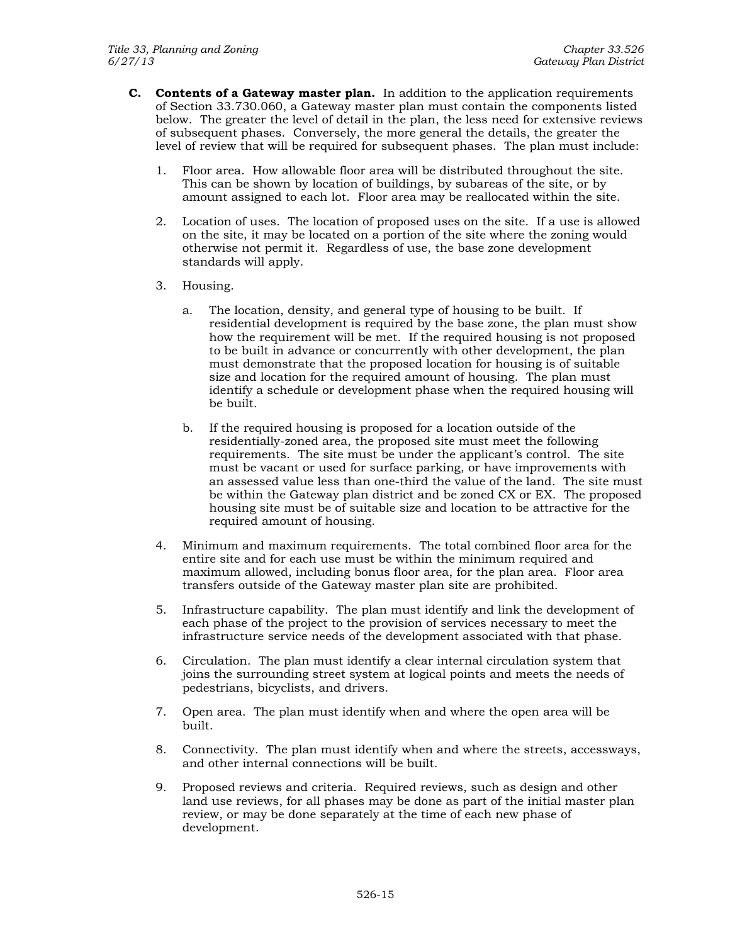- **C. Contents of a Gateway master plan.** In addition to the application requirements of Section 33.730.060, a Gateway master plan must contain the components listed below. The greater the level of detail in the plan, the less need for extensive reviews of subsequent phases. Conversely, the more general the details, the greater the level of review that will be required for subsequent phases. The plan must include:
	- 1. Floor area. How allowable floor area will be distributed throughout the site. This can be shown by location of buildings, by subareas of the site, or by amount assigned to each lot. Floor area may be reallocated within the site.
	- 2. Location of uses. The location of proposed uses on the site. If a use is allowed on the site, it may be located on a portion of the site where the zoning would otherwise not permit it. Regardless of use, the base zone development standards will apply.
	- 3. Housing.
		- a. The location, density, and general type of housing to be built. If residential development is required by the base zone, the plan must show how the requirement will be met. If the required housing is not proposed to be built in advance or concurrently with other development, the plan must demonstrate that the proposed location for housing is of suitable size and location for the required amount of housing. The plan must identify a schedule or development phase when the required housing will be built.
		- b. If the required housing is proposed for a location outside of the residentially-zoned area, the proposed site must meet the following requirements. The site must be under the applicant's control. The site must be vacant or used for surface parking, or have improvements with an assessed value less than one-third the value of the land. The site must be within the Gateway plan district and be zoned CX or EX. The proposed housing site must be of suitable size and location to be attractive for the required amount of housing.
	- 4. Minimum and maximum requirements. The total combined floor area for the entire site and for each use must be within the minimum required and maximum allowed, including bonus floor area, for the plan area. Floor area transfers outside of the Gateway master plan site are prohibited.
	- 5. Infrastructure capability. The plan must identify and link the development of each phase of the project to the provision of services necessary to meet the infrastructure service needs of the development associated with that phase.
	- 6. Circulation. The plan must identify a clear internal circulation system that joins the surrounding street system at logical points and meets the needs of pedestrians, bicyclists, and drivers.
	- 7. Open area. The plan must identify when and where the open area will be built.
	- 8. Connectivity. The plan must identify when and where the streets, accessways, and other internal connections will be built.
	- 9. Proposed reviews and criteria. Required reviews, such as design and other land use reviews, for all phases may be done as part of the initial master plan review, or may be done separately at the time of each new phase of development.